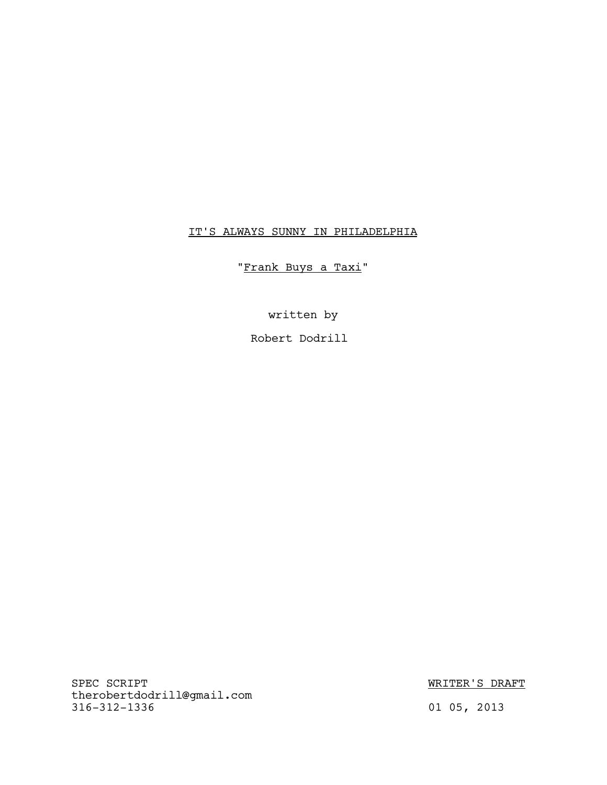# IT'S ALWAYS SUNNY IN PHILADELPHIA

"Frank Buys a Taxi"

written by

Robert Dodrill

SPEC SCRIPT SERVICES ON A SERVICE SERVICE SERVICE SERVICES ON A MINOR WRITER'S DRAFT therobertdodrill@gmail.com 316-312-1336 01 05, 2013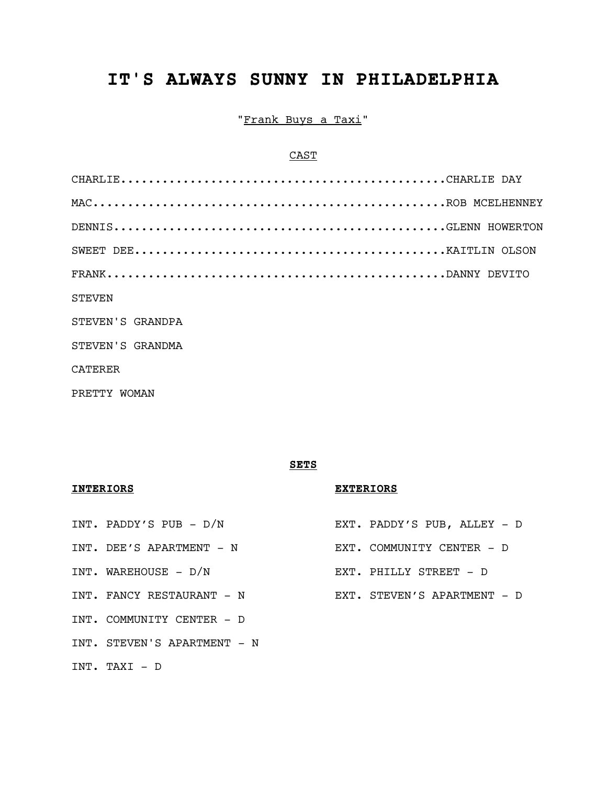# IT'S ALWAYS SUNNY IN PHILADELPHIA

"Frank Buys a Taxi"

# CAST

| <b>STEVEN</b>    |
|------------------|
| STEVEN'S GRANDPA |
| STEVEN'S GRANDMA |
| CATERER          |
| PRETTY WOMAN     |

# SETS

# INTERIORS EXTERIORS

- INT. PADDY'S PUB D/N EXT. PADDY'S PUB, ALLEY D INT. DEE'S APARTMENT - N EXT. COMMUNITY CENTER - D INT. WAREHOUSE - D/N EXT. PHILLY STREET - D INT. FANCY RESTAURANT - N EXT. STEVEN'S APARTMENT - D INT. COMMUNITY CENTER - D INT. STEVEN'S APARTMENT - N
- INT. TAXI D
- 
- 
- 
-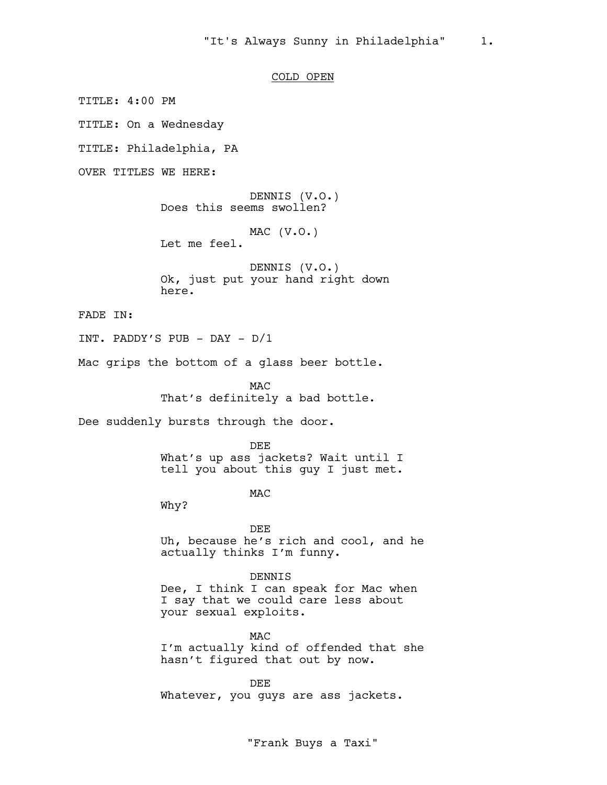# COLD OPEN

TITLE: 4:00 PM

TITLE: On a Wednesday

TITLE: Philadelphia, PA

OVER TITLES WE HERE:

DENNIS (V.O.) Does this seems swollen?

MAC (V.O.)

Let me feel.

DENNIS (V.O.) Ok, just put your hand right down here.

FADE IN:

INT. PADDY'S PUB - DAY - D/1

Mac grips the bottom of a glass beer bottle.

**MAC** That's definitely a bad bottle.

Dee suddenly bursts through the door.

DEE What's up ass jackets? Wait until I tell you about this guy I just met.

M<sub>AC</sub>

Why?

DEE Uh, because he's rich and cool, and he actually thinks I'm funny.

DENNIS Dee, I think I can speak for Mac when I say that we could care less about your sexual exploits.

MAC I'm actually kind of offended that she hasn't figured that out by now.

DEE Whatever, you guys are ass jackets.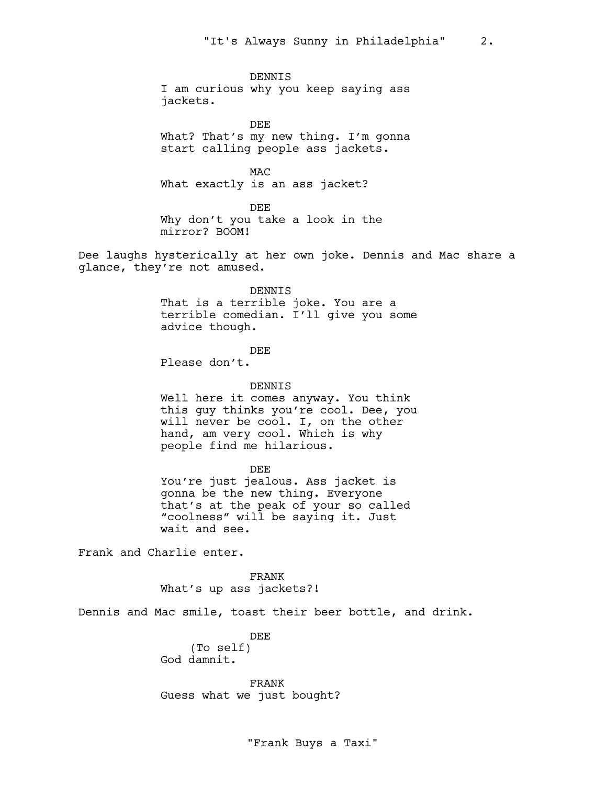DENNIS I am curious why you keep saying ass jackets.

DEE What? That's my new thing. I'm gonna start calling people ass jackets.

MAC What exactly is an ass jacket?

DEE Why don't you take a look in the mirror? BOOM!

Dee laughs hysterically at her own joke. Dennis and Mac share a glance, they're not amused.

> DENNIS That is a terrible joke. You are a terrible comedian. I'll give you some advice though.

> > DEE

Please don't.

DENNIS

Well here it comes anyway. You think this guy thinks you're cool. Dee, you will never be cool. I, on the other hand, am very cool. Which is why people find me hilarious.

DEE

You're just jealous. Ass jacket is gonna be the new thing. Everyone that's at the peak of your so called "coolness" will be saying it. Just wait and see.

Frank and Charlie enter.

FRANK What's up ass jackets?!

Dennis and Mac smile, toast their beer bottle, and drink.

DEE (To self) God damnit.

FRANK Guess what we just bought?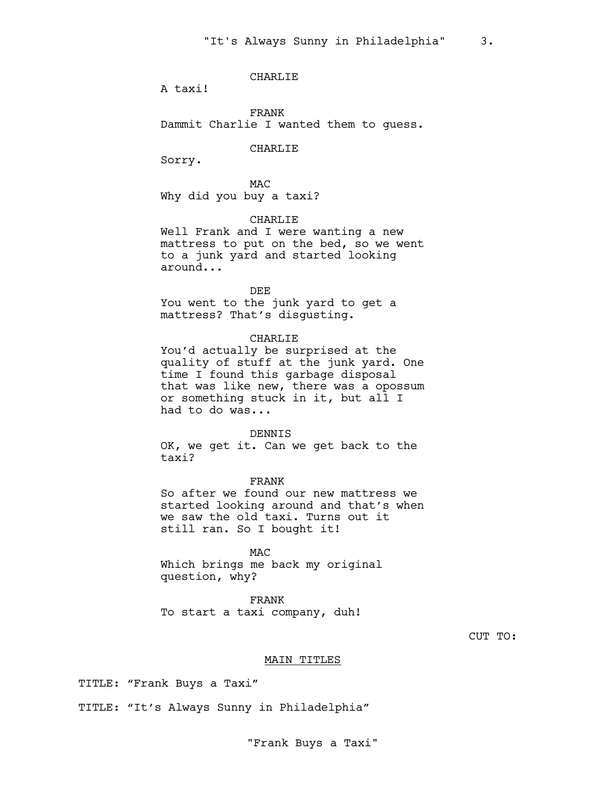# CHARLIE

A taxi!

FRANK Dammit Charlie I wanted them to guess.

CHARLIE

Sorry.

MAC Why did you buy a taxi?

CHARLIE

Well Frank and I were wanting a new mattress to put on the bed, so we went to a junk yard and started looking around...

DEE

You went to the junk yard to get a mattress? That's disgusting.

# CHARLIE

You'd actually be surprised at the quality of stuff at the junk yard. One time I found this garbage disposal that was like new, there was a opossum or something stuck in it, but all I had to do was...

#### DENNIS

OK, we get it. Can we get back to the taxi?

FRANK

So after we found our new mattress we started looking around and that's when we saw the old taxi. Turns out it still ran. So I bought it!

MAC

Which brings me back my original question, why?

FRANK To start a taxi company, duh!

CUT TO:

## MAIN TITLES

TITLE: "Frank Buys a Taxi"

TITLE: "It's Always Sunny in Philadelphia"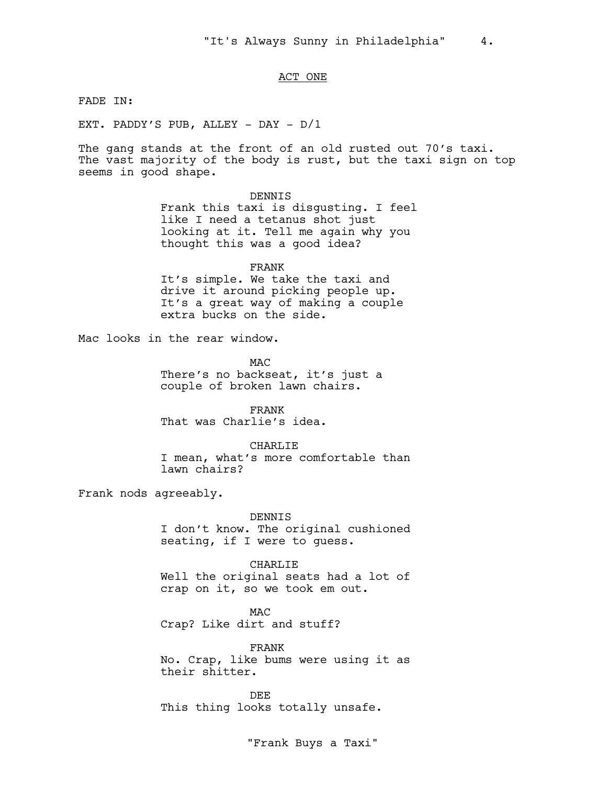# ACT ONE

FADE IN:

EXT. PADDY'S PUB, ALLEY - DAY - D/1

The gang stands at the front of an old rusted out 70's taxi. The vast majority of the body is rust, but the taxi sign on top seems in good shape.

#### DENNIS

Frank this taxi is disgusting. I feel like I need a tetanus shot just looking at it. Tell me again why you thought this was a good idea?

# FRANK

It's simple. We take the taxi and drive it around picking people up. It's a great way of making a couple extra bucks on the side.

Mac looks in the rear window.

M<sub>AC</sub> There's no backseat, it's just a couple of broken lawn chairs.

FRANK That was Charlie's idea.

#### CHARLIE

I mean, what's more comfortable than lawn chairs?

Frank nods agreeably.

DENNIS I don't know. The original cushioned seating, if I were to guess.

#### CHARLIE

Well the original seats had a lot of crap on it, so we took em out.

MAC Crap? Like dirt and stuff?

FRANK No. Crap, like bums were using it as their shitter.

DEE This thing looks totally unsafe.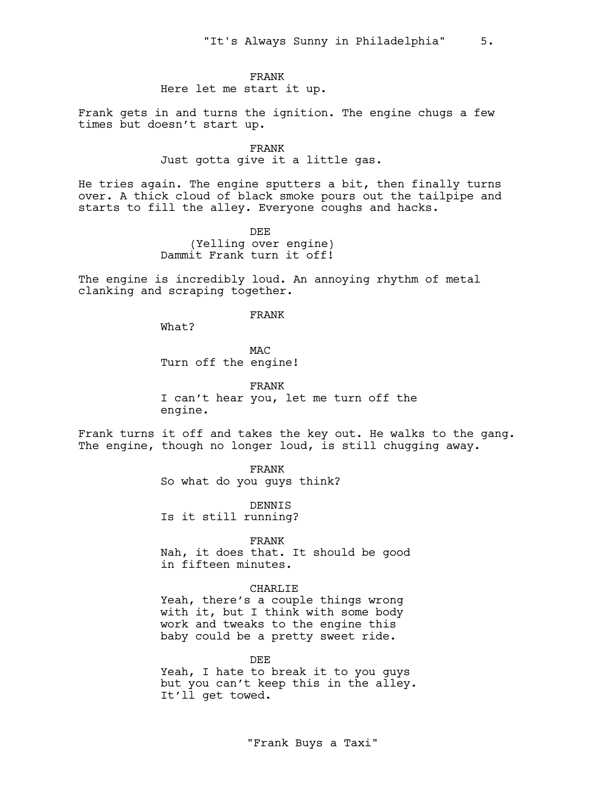# FRANK

Here let me start it up.

Frank gets in and turns the ignition. The engine chugs a few times but doesn't start up.

> FRANK Just gotta give it a little gas.

He tries again. The engine sputters a bit, then finally turns over. A thick cloud of black smoke pours out the tailpipe and starts to fill the alley. Everyone coughs and hacks.

> DEE (Yelling over engine) Dammit Frank turn it off!

The engine is incredibly loud. An annoying rhythm of metal clanking and scraping together.

# FRANK

What?

MAC Turn off the engine!

FRANK I can't hear you, let me turn off the engine.

Frank turns it off and takes the key out. He walks to the gang. The engine, though no longer loud, is still chugging away.

FRANK

So what do you guys think?

DENNIS Is it still running?

FRANK

Nah, it does that. It should be good in fifteen minutes.

# CHARLIE

Yeah, there's a couple things wrong with it, but I think with some body work and tweaks to the engine this baby could be a pretty sweet ride.

DEE Yeah, I hate to break it to you guys but you can't keep this in the alley. It'll get towed.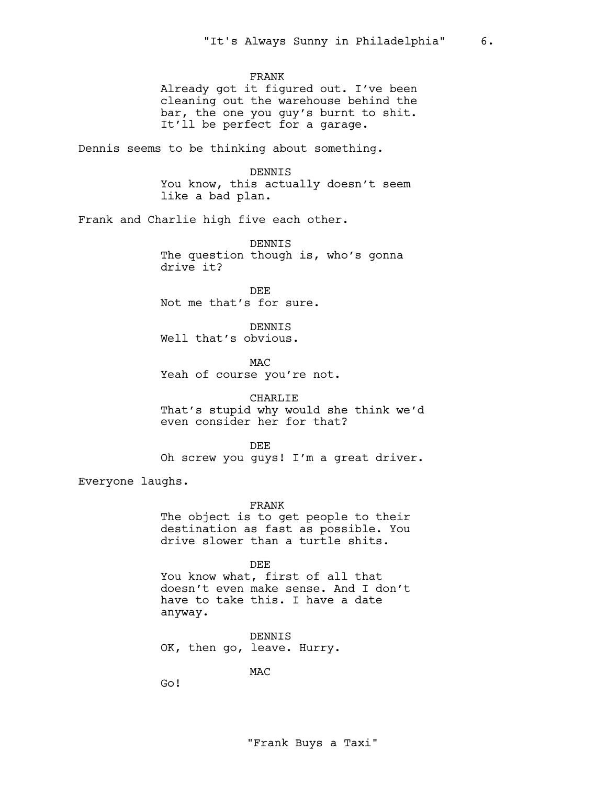FRANK

Already got it figured out. I've been cleaning out the warehouse behind the bar, the one you guy's burnt to shit. It'll be perfect for a garage.

Dennis seems to be thinking about something.

DENNIS

You know, this actually doesn't seem like a bad plan.

Frank and Charlie high five each other.

DENNIS The question though is, who's gonna drive it?

DEE Not me that's for sure.

DENNIS Well that's obvious.

M<sub>AC</sub> Yeah of course you're not.

CHARLIE

That's stupid why would she think we'd even consider her for that?

DEE

Oh screw you guys! I'm a great driver.

Everyone laughs.

FRANK

The object is to get people to their destination as fast as possible. You drive slower than a turtle shits.

DEE

You know what, first of all that doesn't even make sense. And I don't have to take this. I have a date anyway.

DENNIS OK, then go, leave. Hurry.

MAC

Go!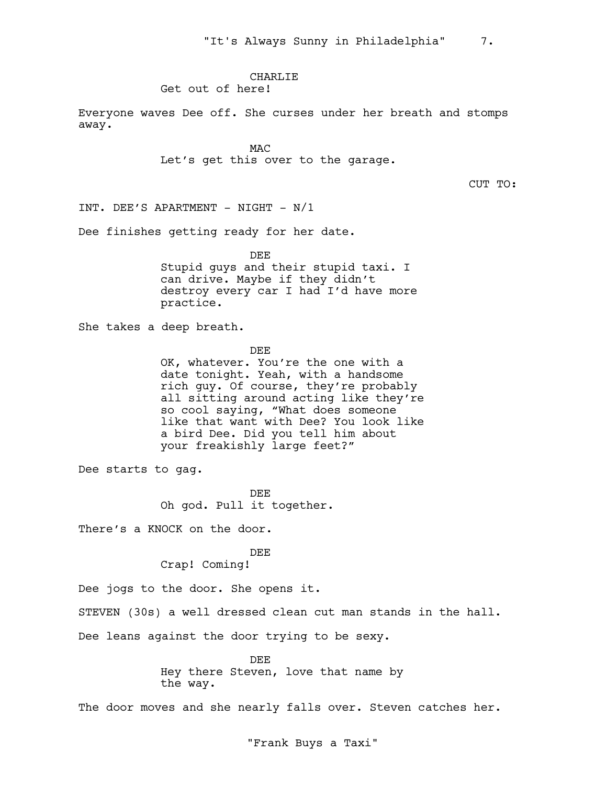# CHARLIE

Get out of here!

Everyone waves Dee off. She curses under her breath and stomps away.

> **MAC** Let's get this over to the garage.

> > CUT TO:

INT. DEE'S APARTMENT - NIGHT - N/1

Dee finishes getting ready for her date.

DEE Stupid guys and their stupid taxi. I can drive. Maybe if they didn't destroy every car I had I'd have more practice.

She takes a deep breath.

DEE

OK, whatever. You're the one with a date tonight. Yeah, with a handsome rich guy. Of course, they're probably all sitting around acting like they're so cool saying, "What does someone like that want with Dee? You look like a bird Dee. Did you tell him about your freakishly large feet?"

Dee starts to gag.

DEE Oh god. Pull it together.

There's a KNOCK on the door.

#### DEE

Crap! Coming!

Dee jogs to the door. She opens it.

STEVEN (30s) a well dressed clean cut man stands in the hall.

Dee leans against the door trying to be sexy.

DEE Hey there Steven, love that name by the way.

The door moves and she nearly falls over. Steven catches her.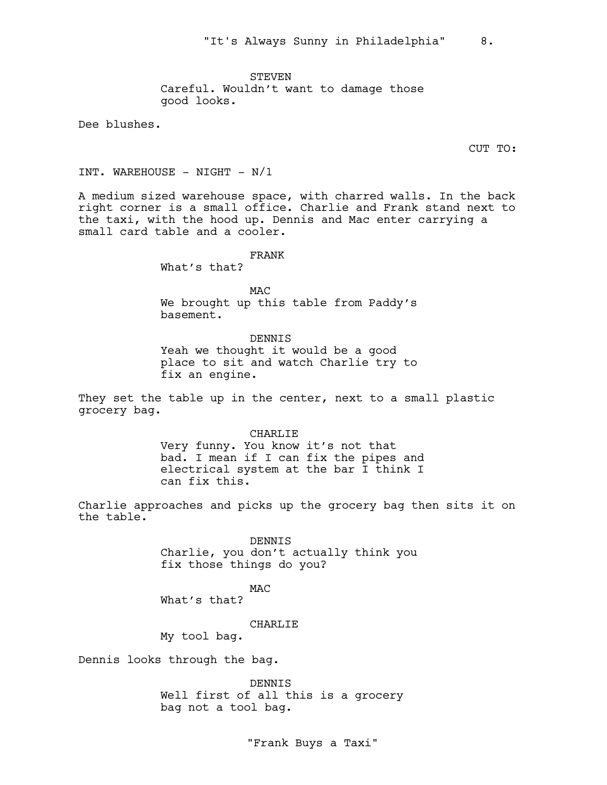STEVEN Careful. Wouldn't want to damage those good looks.

Dee blushes.

CUT TO:

INT. WAREHOUSE - NIGHT -  $N/1$ 

A medium sized warehouse space, with charred walls. In the back right corner is a small office. Charlie and Frank stand next to the taxi, with the hood up. Dennis and Mac enter carrying a small card table and a cooler.

FRANK

What's that?

MAC We brought up this table from Paddy's basement.

DENNIS Yeah we thought it would be a good place to sit and watch Charlie try to fix an engine.

They set the table up in the center, next to a small plastic grocery bag.

> CHARLIE Very funny. You know it's not that bad. I mean if I can fix the pipes and electrical system at the bar I think I can fix this.

Charlie approaches and picks up the grocery bag then sits it on the table.

> DENNIS Charlie, you don't actually think you fix those things do you?

MAC What's that?

CHARLIE

My tool bag.

Dennis looks through the bag.

DENNIS Well first of all this is a grocery bag not a tool bag.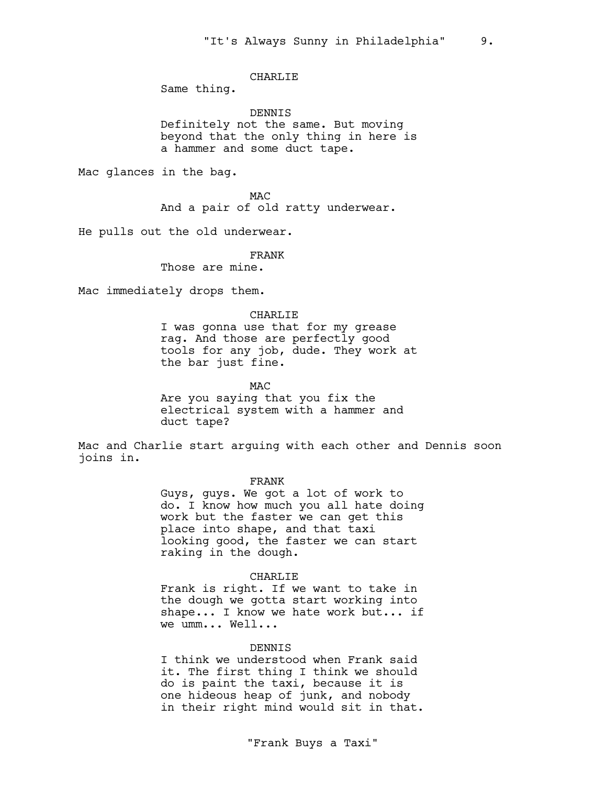# CHARLIE

Same thing.

DENNIS

Definitely not the same. But moving beyond that the only thing in here is a hammer and some duct tape.

Mac glances in the bag.

**MAC** And a pair of old ratty underwear.

He pulls out the old underwear.

FRANK

Those are mine.

Mac immediately drops them.

#### CHARLIE

I was gonna use that for my grease rag. And those are perfectly good tools for any job, dude. They work at the bar just fine.

M<sub>AC</sub>

Are you saying that you fix the electrical system with a hammer and duct tape?

Mac and Charlie start arguing with each other and Dennis soon joins in.

#### FRANK

Guys, guys. We got a lot of work to do. I know how much you all hate doing work but the faster we can get this place into shape, and that taxi looking good, the faster we can start raking in the dough.

# CHARLIE

Frank is right. If we want to take in the dough we gotta start working into shape... I know we hate work but... if we umm... Well...

# DENNIS

I think we understood when Frank said it. The first thing I think we should do is paint the taxi, because it is one hideous heap of junk, and nobody in their right mind would sit in that.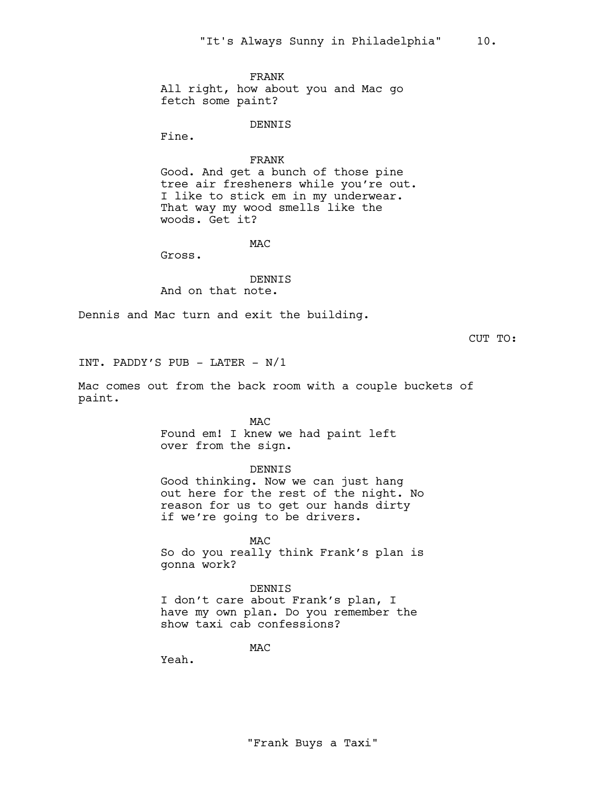FRANK All right, how about you and Mac go fetch some paint?

#### DENNIS

Fine.

#### FRANK

Good. And get a bunch of those pine tree air fresheners while you're out. I like to stick em in my underwear. That way my wood smells like the woods. Get it?

M<sub>AC</sub>

Gross.

DENNIS And on that note.

Dennis and Mac turn and exit the building.

CUT TO:

INT. PADDY'S PUB - LATER - N/1

Mac comes out from the back room with a couple buckets of paint.

**MAC** 

Found em! I knew we had paint left over from the sign.

DENNIS

Good thinking. Now we can just hang out here for the rest of the night. No reason for us to get our hands dirty if we're going to be drivers.

MAC

So do you really think Frank's plan is gonna work?

# DENNIS

I don't care about Frank's plan, I have my own plan. Do you remember the show taxi cab confessions?

MAC

Yeah.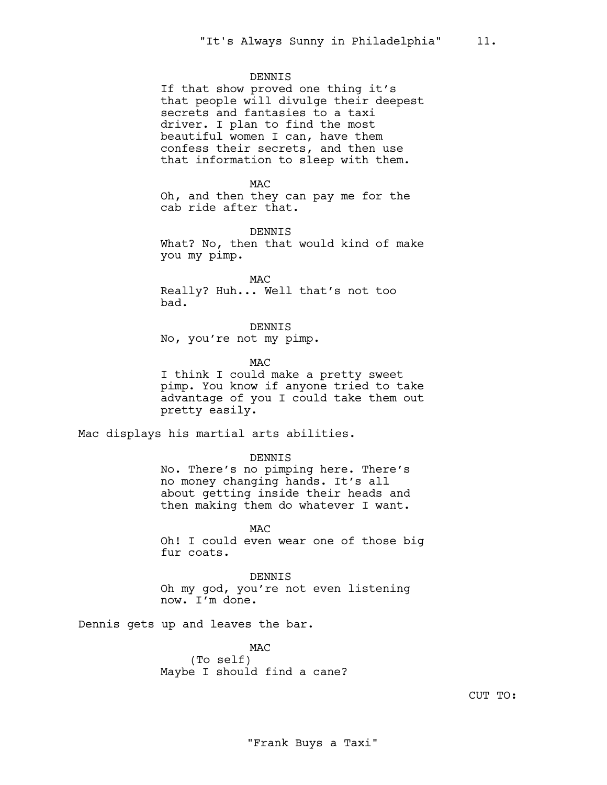### DENNIS

If that show proved one thing it's that people will divulge their deepest secrets and fantasies to a taxi driver. I plan to find the most beautiful women I can, have them confess their secrets, and then use that information to sleep with them.

MAC

Oh, and then they can pay me for the cab ride after that.

DENNIS What? No, then that would kind of make you my pimp.

MAC Really? Huh... Well that's not too bad.

DENNIS No, you're not my pimp.

M<sub>AC</sub>

I think I could make a pretty sweet pimp. You know if anyone tried to take advantage of you I could take them out pretty easily.

Mac displays his martial arts abilities.

DENNIS

No. There's no pimping here. There's no money changing hands. It's all about getting inside their heads and then making them do whatever I want.

**MAC** Oh! I could even wear one of those big fur coats.

DENNIS Oh my god, you're not even listening now. I'm done.

Dennis gets up and leaves the bar.

MAC (To self) Maybe I should find a cane?

CUT TO: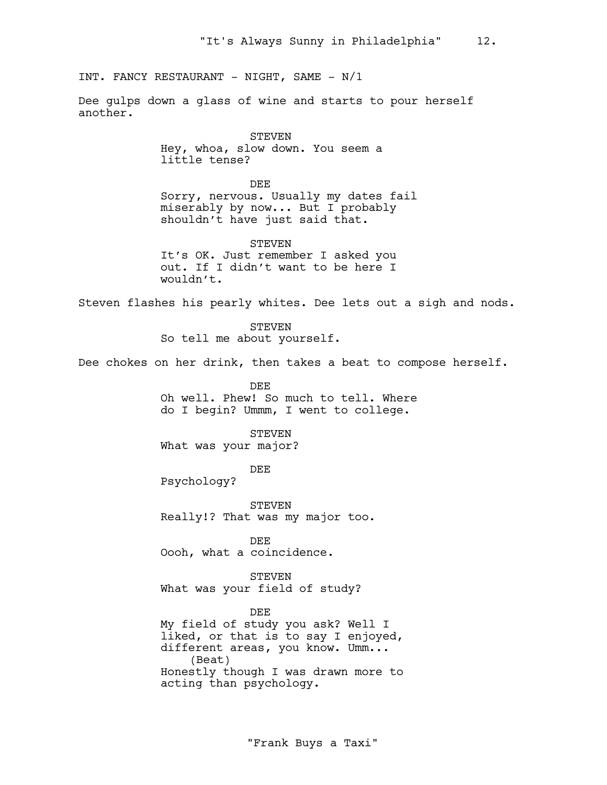INT. FANCY RESTAURANT - NIGHT, SAME - N/1

Dee gulps down a glass of wine and starts to pour herself another.

> STEVEN Hey, whoa, slow down. You seem a little tense?

DEE Sorry, nervous. Usually my dates fail miserably by now... But I probably shouldn't have just said that.

STEVEN It's OK. Just remember I asked you out. If I didn't want to be here I wouldn't.

Steven flashes his pearly whites. Dee lets out a sigh and nods.

STEVEN So tell me about yourself.

Dee chokes on her drink, then takes a beat to compose herself.

DEE Oh well. Phew! So much to tell. Where do I begin? Ummm, I went to college.

#### STEVEN

What was your major?

DEE

Psychology?

STEVEN Really!? That was my major too.

DEE Oooh, what a coincidence.

STEVEN What was your field of study?

DEE My field of study you ask? Well I liked, or that is to say I enjoyed, different areas, you know. Umm... (Beat) Honestly though I was drawn more to acting than psychology.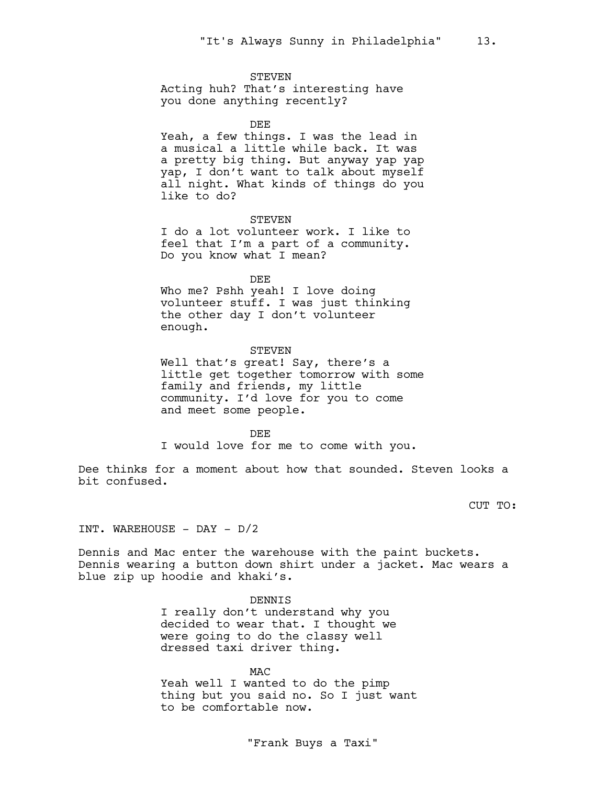#### STEVEN

Acting huh? That's interesting have you done anything recently?

DEE

Yeah, a few things. I was the lead in a musical a little while back. It was a pretty big thing. But anyway yap yap yap, I don't want to talk about myself all night. What kinds of things do you like to do?

### STEVEN

I do a lot volunteer work. I like to feel that I'm a part of a community. Do you know what I mean?

DEE

Who me? Pshh yeah! I love doing volunteer stuff. I was just thinking the other day I don't volunteer enough.

#### STEVEN

Well that's great! Say, there's a little get together tomorrow with some family and friends, my little community. I'd love for you to come and meet some people.

#### DEE

I would love for me to come with you.

Dee thinks for a moment about how that sounded. Steven looks a bit confused.

CUT TO:

INT. WAREHOUSE - DAY - D/2

Dennis and Mac enter the warehouse with the paint buckets. Dennis wearing a button down shirt under a jacket. Mac wears a blue zip up hoodie and khaki's.

DENNIS

I really don't understand why you decided to wear that. I thought we were going to do the classy well dressed taxi driver thing.

#### MAC

Yeah well I wanted to do the pimp thing but you said no. So I just want to be comfortable now.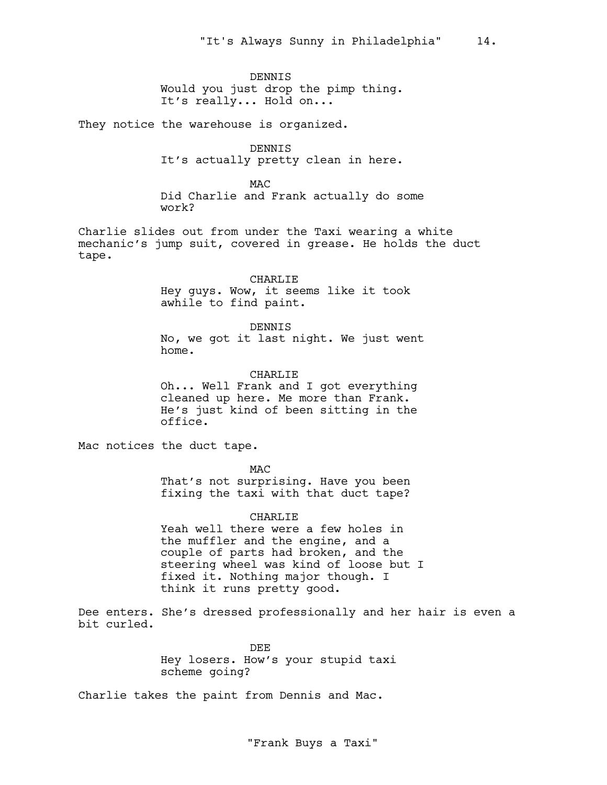DENNIS Would you just drop the pimp thing. It's really... Hold on...

They notice the warehouse is organized.

DENNIS It's actually pretty clean in here.

M<sub>AC</sub> Did Charlie and Frank actually do some work?

Charlie slides out from under the Taxi wearing a white mechanic's jump suit, covered in grease. He holds the duct tape.

> CHARLIE Hey guys. Wow, it seems like it took awhile to find paint.

DENNIS No, we got it last night. We just went home.

CHARLIE

Oh... Well Frank and I got everything cleaned up here. Me more than Frank. He's just kind of been sitting in the office.

Mac notices the duct tape.

M<sub>AC</sub>

That's not surprising. Have you been fixing the taxi with that duct tape?

CHARLIE Yeah well there were a few holes in the muffler and the engine, and a

couple of parts had broken, and the steering wheel was kind of loose but I fixed it. Nothing major though. I think it runs pretty good.

Dee enters. She's dressed professionally and her hair is even a bit curled.

> DEE Hey losers. How's your stupid taxi scheme going?

Charlie takes the paint from Dennis and Mac.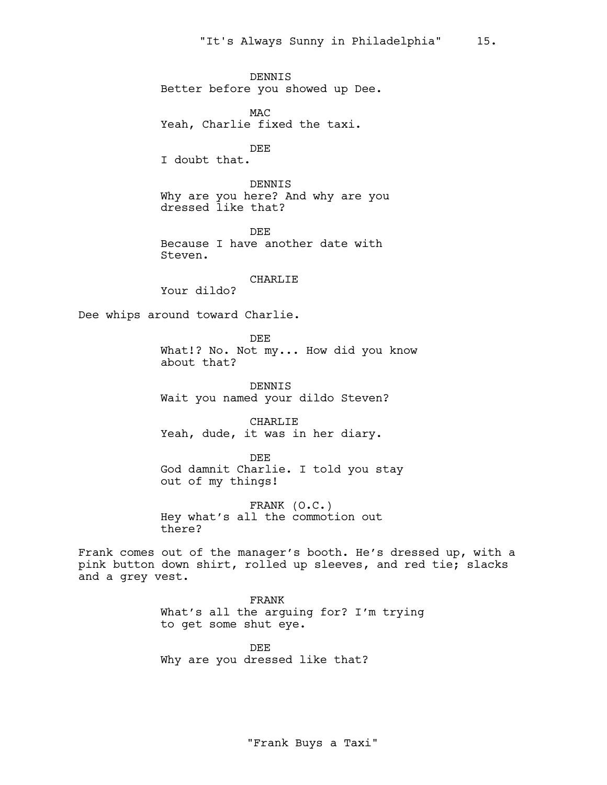DENNIS Better before you showed up Dee. MAC Yeah, Charlie fixed the taxi. DEE I doubt that. DENNIS Why are you here? And why are you dressed like that? DEE Because I have another date with Steven. CHARLIE Your dildo? Dee whips around toward Charlie. DEE What!? No. Not my... How did you know about that? DENNIS Wait you named your dildo Steven? CHARLIE Yeah, dude, it was in her diary. DEE God damnit Charlie. I told you stay out of my things! FRANK (O.C.) Hey what's all the commotion out there? Frank comes out of the manager's booth. He's dressed up, with a pink button down shirt, rolled up sleeves, and red tie; slacks and a grey vest. FRANK What's all the arguing for? I'm trying to get some shut eye.

> DEE Why are you dressed like that?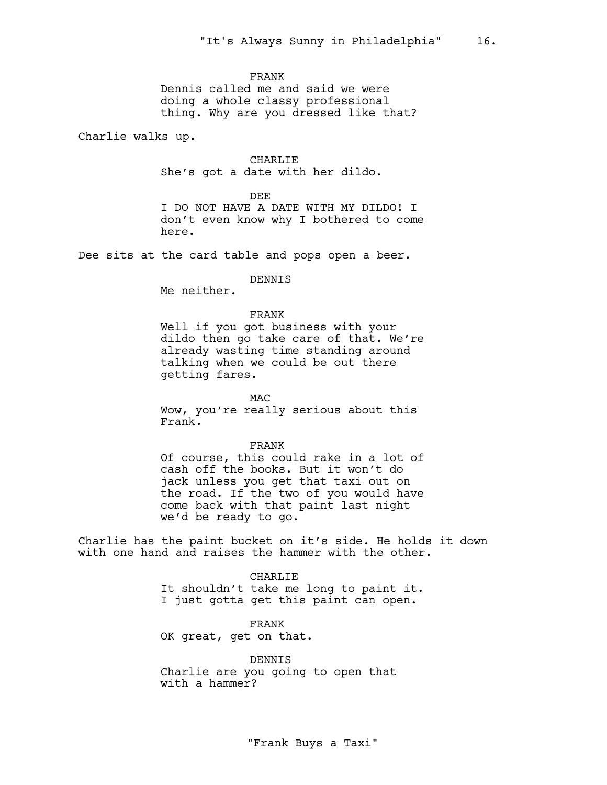#### FRANK

Dennis called me and said we were doing a whole classy professional thing. Why are you dressed like that?

Charlie walks up.

CHARLIE She's got a date with her dildo.

#### DEE

I DO NOT HAVE A DATE WITH MY DILDO! I don't even know why I bothered to come here.

Dee sits at the card table and pops open a beer.

DENNIS

Me neither.

# FRANK

Well if you got business with your dildo then go take care of that. We're already wasting time standing around talking when we could be out there getting fares.

MAC Wow, you're really serious about this Frank.

# FRANK

Of course, this could rake in a lot of cash off the books. But it won't do jack unless you get that taxi out on the road. If the two of you would have come back with that paint last night we'd be ready to go.

Charlie has the paint bucket on it's side. He holds it down with one hand and raises the hammer with the other.

> CHARLIE It shouldn't take me long to paint it. I just gotta get this paint can open.

FRANK OK great, get on that.

DENNIS Charlie are you going to open that with a hammer?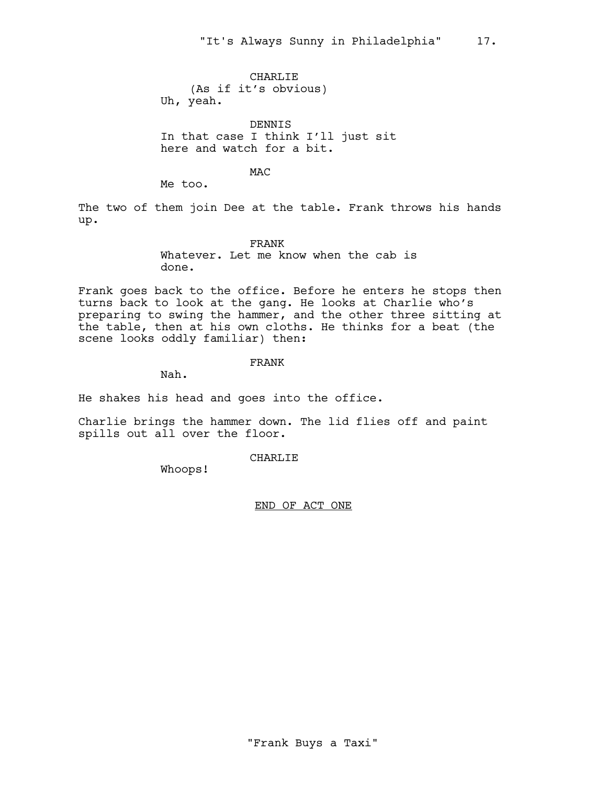CHARLIE (As if it's obvious) Uh, yeah.

DENNIS In that case I think I'll just sit here and watch for a bit.

**MAC** 

Me too.

The two of them join Dee at the table. Frank throws his hands up.

FRANK

Whatever. Let me know when the cab is done.

Frank goes back to the office. Before he enters he stops then turns back to look at the gang. He looks at Charlie who's preparing to swing the hammer, and the other three sitting at the table, then at his own cloths. He thinks for a beat (the scene looks oddly familiar) then:

FRANK

Nah.

He shakes his head and goes into the office.

Charlie brings the hammer down. The lid flies off and paint spills out all over the floor.

CHARLIE

Whoops!

END OF ACT ONE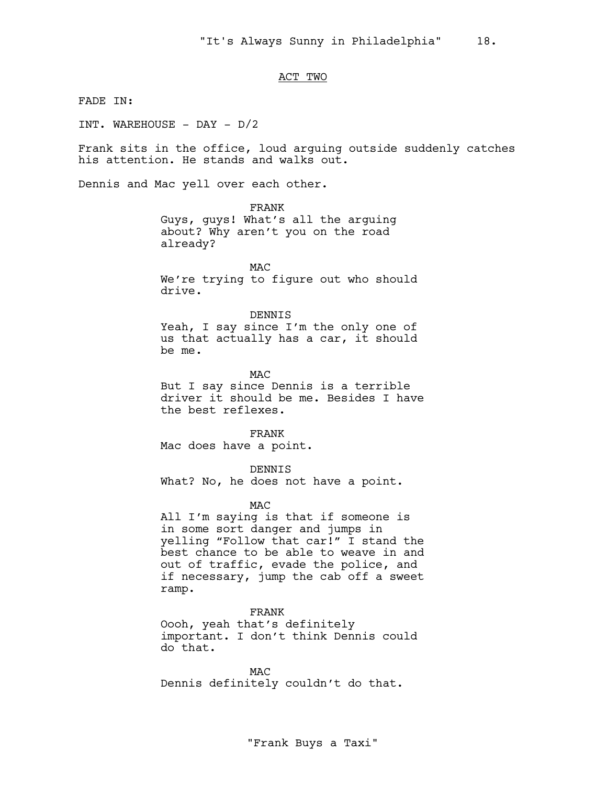# ACT TWO

FADE IN:

INT. WAREHOUSE - DAY - D/2

Frank sits in the office, loud arguing outside suddenly catches his attention. He stands and walks out.

Dennis and Mac yell over each other.

FRANK Guys, guys! What's all the arguing about? Why aren't you on the road already?

MAC We're trying to figure out who should drive.

DENNIS

Yeah, I say since I'm the only one of us that actually has a car, it should be me.

MAC But I say since Dennis is a terrible driver it should be me. Besides I have the best reflexes.

FRANK Mac does have a point.

DENNIS What? No, he does not have a point.

MAC

All I'm saying is that if someone is in some sort danger and jumps in yelling "Follow that car!" I stand the best chance to be able to weave in and out of traffic, evade the police, and if necessary, jump the cab off a sweet ramp.

FRANK Oooh, yeah that's definitely important. I don't think Dennis could do that.

**MAC** Dennis definitely couldn't do that.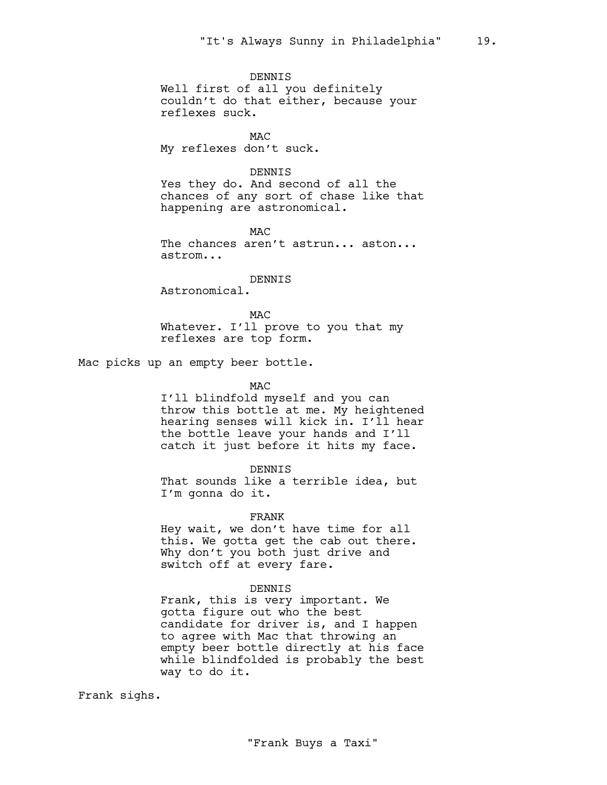DENNIS Well first of all you definitely couldn't do that either, because your reflexes suck.

**MAC** My reflexes don't suck.

# DENNIS

Yes they do. And second of all the chances of any sort of chase like that happening are astronomical.

M<sub>AC</sub> The chances aren't astrun... aston... astrom...

DENNIS

Astronomical.

M<sub>AC</sub> Whatever. I'll prove to you that my reflexes are top form.

Mac picks up an empty beer bottle.

# **MAC**

I'll blindfold myself and you can throw this bottle at me. My heightened hearing senses will kick in. I'll hear the bottle leave your hands and I'll catch it just before it hits my face.

# DENNIS

That sounds like a terrible idea, but I'm gonna do it.

# FRANK

Hey wait, we don't have time for all this. We gotta get the cab out there. Why don't you both just drive and switch off at every fare.

#### DENNIS

Frank, this is very important. We gotta figure out who the best candidate for driver is, and I happen to agree with Mac that throwing an empty beer bottle directly at his face while blindfolded is probably the best way to do it.

Frank sighs.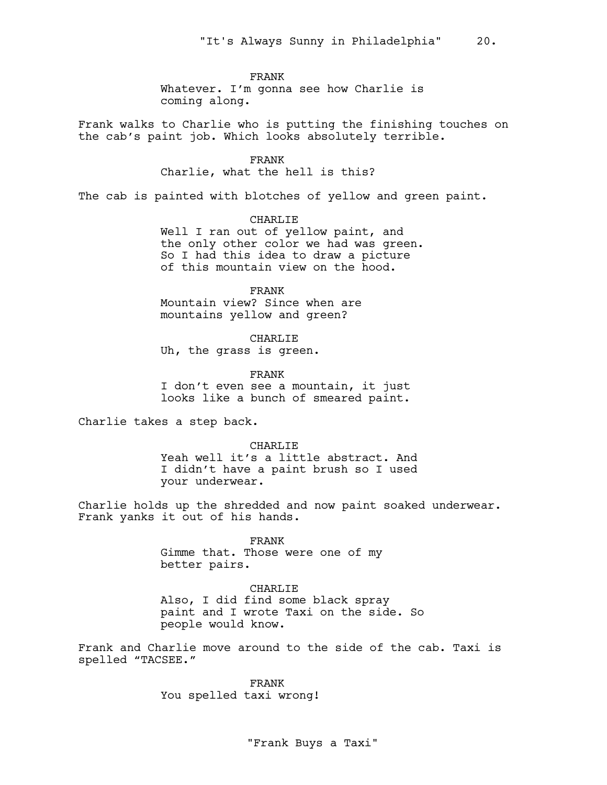FRANK

Whatever. I'm gonna see how Charlie is coming along.

Frank walks to Charlie who is putting the finishing touches on the cab's paint job. Which looks absolutely terrible.

FRANK

Charlie, what the hell is this?

The cab is painted with blotches of yellow and green paint.

CHARLIE Well I ran out of yellow paint, and the only other color we had was green. So I had this idea to draw a picture of this mountain view on the hood.

FRANK Mountain view? Since when are mountains yellow and green?

CHARLIE Uh, the grass is green.

FRANK I don't even see a mountain, it just looks like a bunch of smeared paint.

Charlie takes a step back.

CHARLIE Yeah well it's a little abstract. And I didn't have a paint brush so I used your underwear.

Charlie holds up the shredded and now paint soaked underwear. Frank yanks it out of his hands.

> FRANK Gimme that. Those were one of my better pairs.

CHARLIE Also, I did find some black spray paint and I wrote Taxi on the side. So people would know.

Frank and Charlie move around to the side of the cab. Taxi is spelled "TACSEE."

> FRANK You spelled taxi wrong!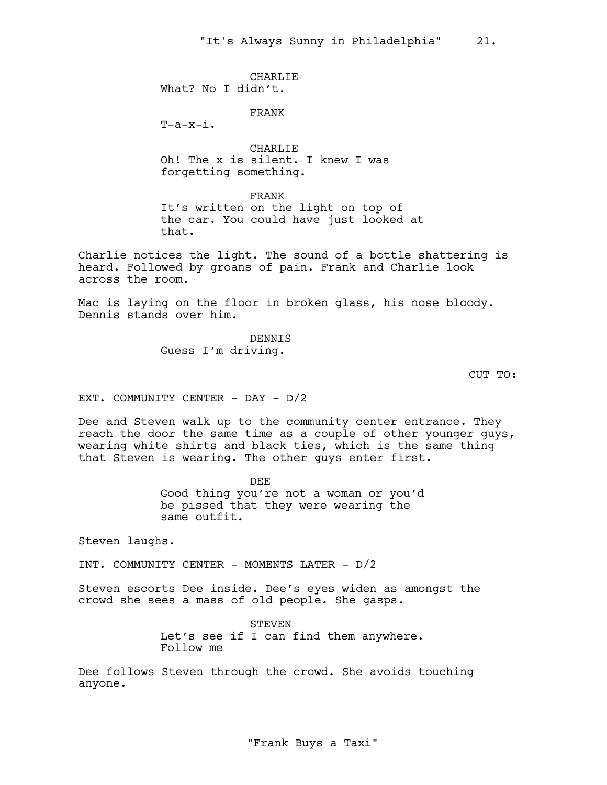CHARLIE What? No I didn't.

FRANK

 $T-a-x-i$ .

CHARLIE Oh! The x is silent. I knew I was forgetting something.

FRANK

It's written on the light on top of the car. You could have just looked at that.

Charlie notices the light. The sound of a bottle shattering is heard. Followed by groans of pain. Frank and Charlie look across the room.

Mac is laying on the floor in broken glass, his nose bloody. Dennis stands over him.

> DENNIS Guess I'm driving.

> > CUT TO:

EXT. COMMUNITY CENTER - DAY - D/2

Dee and Steven walk up to the community center entrance. They reach the door the same time as a couple of other younger guys, wearing white shirts and black ties, which is the same thing that Steven is wearing. The other guys enter first.

> DEE Good thing you're not a woman or you'd be pissed that they were wearing the same outfit.

Steven laughs.

INT. COMMUNITY CENTER - MOMENTS LATER - D/2

Steven escorts Dee inside. Dee's eyes widen as amongst the crowd she sees a mass of old people. She gasps.

> **STEVEN** Let's see if I can find them anywhere. Follow me

Dee follows Steven through the crowd. She avoids touching anyone.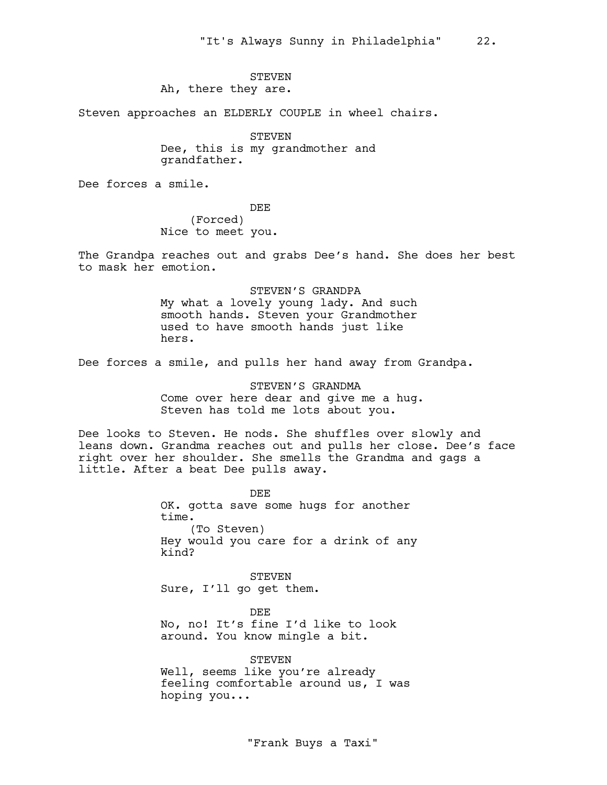# STEVEN Ah, there they are.

Steven approaches an ELDERLY COUPLE in wheel chairs.

STEVEN Dee, this is my grandmother and grandfather.

Dee forces a smile.

DEE (Forced) Nice to meet you.

The Grandpa reaches out and grabs Dee's hand. She does her best to mask her emotion.

> STEVEN'S GRANDPA My what a lovely young lady. And such smooth hands. Steven your Grandmother used to have smooth hands just like hers.

Dee forces a smile, and pulls her hand away from Grandpa.

STEVEN'S GRANDMA Come over here dear and give me a hug. Steven has told me lots about you.

Dee looks to Steven. He nods. She shuffles over slowly and leans down. Grandma reaches out and pulls her close. Dee's face right over her shoulder. She smells the Grandma and gags a little. After a beat Dee pulls away.

> DEE OK. gotta save some hugs for another time. (To Steven) Hey would you care for a drink of any kind?

STEVEN Sure, I'll go get them.

DEE No, no! It's fine I'd like to look around. You know mingle a bit.

STEVEN Well, seems like you're already feeling comfortable around us, I was hoping you...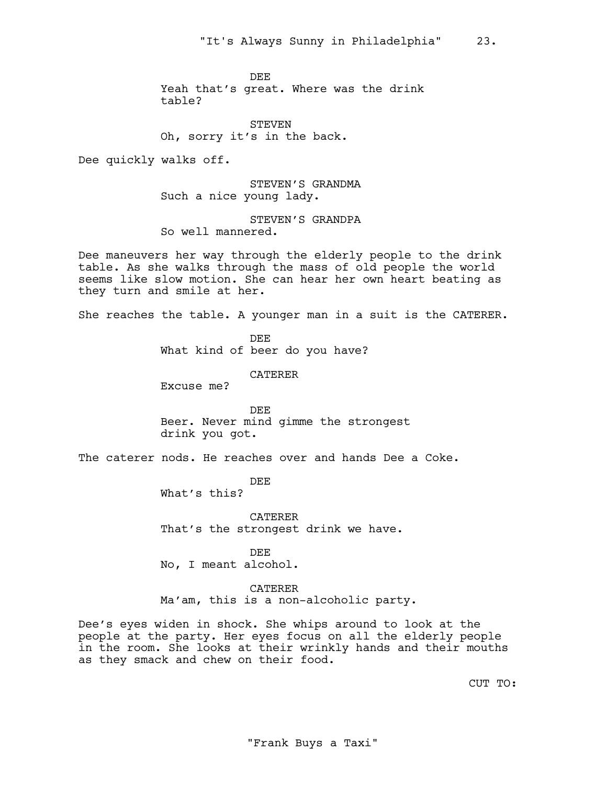DEE

Yeah that's great. Where was the drink table?

STEVEN Oh, sorry it's in the back.

Dee quickly walks off.

STEVEN'S GRANDMA Such a nice young lady.

STEVEN'S GRANDPA So well mannered.

Dee maneuvers her way through the elderly people to the drink table. As she walks through the mass of old people the world seems like slow motion. She can hear her own heart beating as they turn and smile at her.

She reaches the table. A younger man in a suit is the CATERER.

DEE What kind of beer do you have?

CATERER

Excuse me?

DEE Beer. Never mind gimme the strongest drink you got.

The caterer nods. He reaches over and hands Dee a Coke.

DEE

What's this?

CATERER That's the strongest drink we have.

DEE No, I meant alcohol.

CATERER Ma'am, this is a non-alcoholic party.

Dee's eyes widen in shock. She whips around to look at the people at the party. Her eyes focus on all the elderly people in the room. She looks at their wrinkly hands and their mouths as they smack and chew on their food.

CUT TO: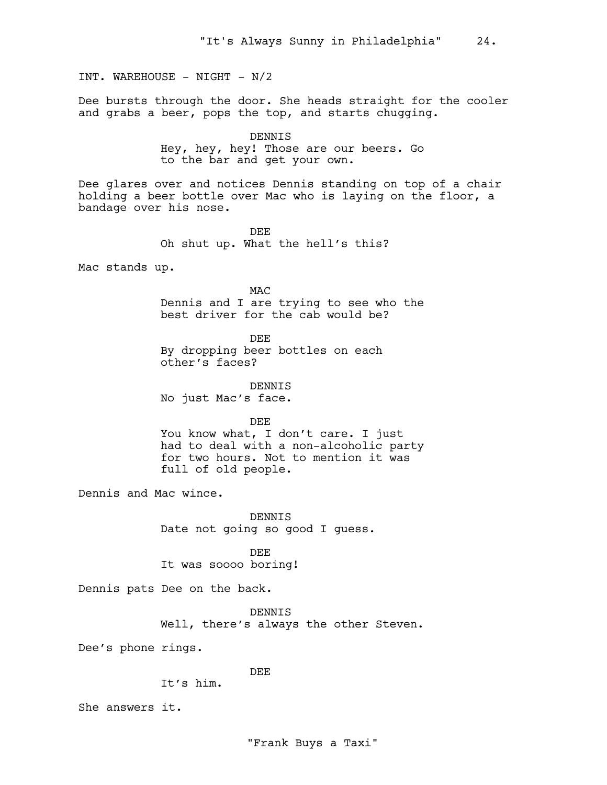INT. WAREHOUSE - NIGHT - N/2

Dee bursts through the door. She heads straight for the cooler and grabs a beer, pops the top, and starts chugging.

> DENNIS Hey, hey, hey! Those are our beers. Go to the bar and get your own.

Dee glares over and notices Dennis standing on top of a chair holding a beer bottle over Mac who is laying on the floor, a bandage over his nose.

> DEE Oh shut up. What the hell's this?

Mac stands up.

MAC Dennis and I are trying to see who the best driver for the cab would be?

DEE By dropping beer bottles on each other's faces?

DENNIS No just Mac's face.

DEE

You know what, I don't care. I just had to deal with a non-alcoholic party for two hours. Not to mention it was full of old people.

Dennis and Mac wince.

DENNIS Date not going so good I guess.

DEE It was soooo boring!

Dennis pats Dee on the back.

DENNIS Well, there's always the other Steven.

Dee's phone rings.

DEE

It's him.

She answers it.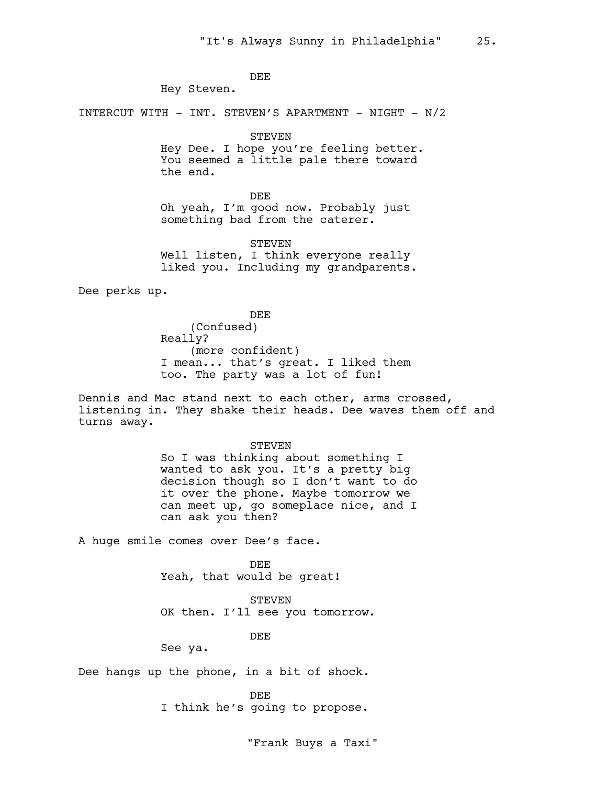DEE

Hey Steven.

INTERCUT WITH - INT. STEVEN'S APARTMENT - NIGHT - N/2

STEVEN

Hey Dee. I hope you're feeling better. You seemed a little pale there toward the end.

DEE Oh yeah, I'm good now. Probably just something bad from the caterer.

STEVEN Well listen, I think everyone really liked you. Including my grandparents.

Dee perks up.

DEE (Confused) Really? (more confident) I mean... that's great. I liked them too. The party was a lot of fun!

Dennis and Mac stand next to each other, arms crossed, listening in. They shake their heads. Dee waves them off and turns away.

> **STEVEN** So I was thinking about something I wanted to ask you. It's a pretty big decision though so I don't want to do it over the phone. Maybe tomorrow we can meet up, go someplace nice, and I can ask you then?

A huge smile comes over Dee's face.

DEE Yeah, that would be great!

STEVEN OK then. I'll see you tomorrow.

DEE

See ya.

Dee hangs up the phone, in a bit of shock.

DEE

I think he's going to propose.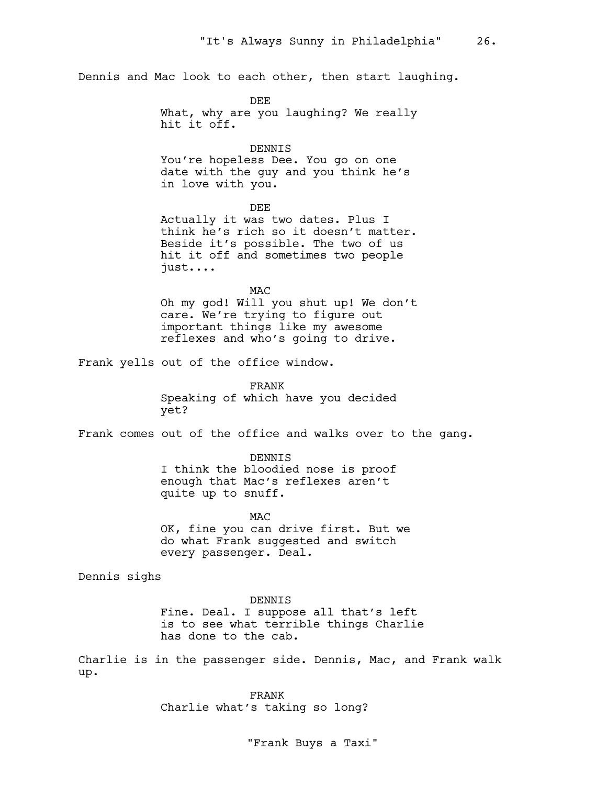Dennis and Mac look to each other, then start laughing.

DEE What, why are you laughing? We really hit it off.

#### DENNIS

You're hopeless Dee. You go on one date with the guy and you think he's in love with you.

DEE

Actually it was two dates. Plus I think he's rich so it doesn't matter. Beside it's possible. The two of us hit it off and sometimes two people just....

MAC

Oh my god! Will you shut up! We don't care. We're trying to figure out important things like my awesome reflexes and who's going to drive.

Frank yells out of the office window.

FRANK Speaking of which have you decided yet?

Frank comes out of the office and walks over to the gang.

DENNIS

I think the bloodied nose is proof enough that Mac's reflexes aren't quite up to snuff.

**MAC** OK, fine you can drive first. But we do what Frank suggested and switch every passenger. Deal.

Dennis sighs

DENNIS

Fine. Deal. I suppose all that's left is to see what terrible things Charlie has done to the cab.

Charlie is in the passenger side. Dennis, Mac, and Frank walk up.

> FRANK Charlie what's taking so long?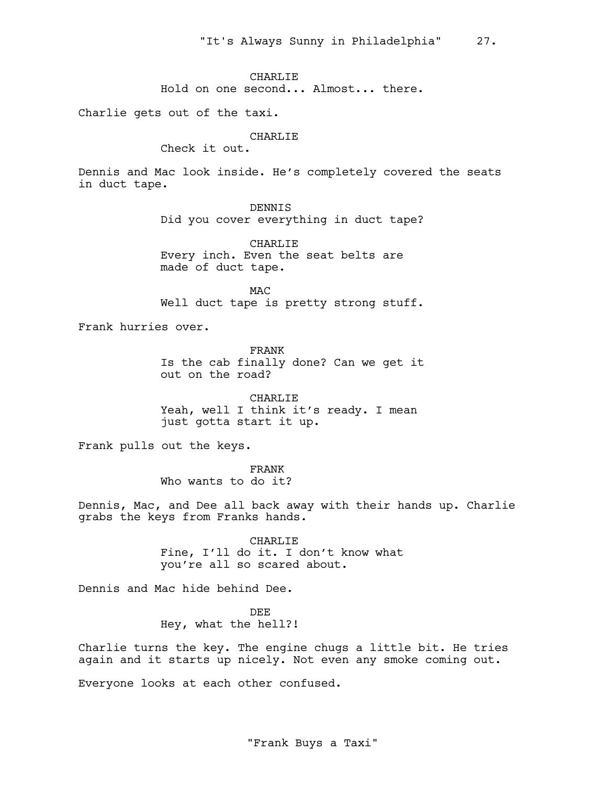CHARLIE

Hold on one second... Almost... there.

Charlie gets out of the taxi.

# CHARLIE

Check it out.

Dennis and Mac look inside. He's completely covered the seats in duct tape.

DENNIS

Did you cover everything in duct tape?

CHARLIE Every inch. Even the seat belts are made of duct tape.

MAC Well duct tape is pretty strong stuff.

Frank hurries over.

FRANK Is the cab finally done? Can we get it out on the road?

CHARLIE Yeah, well I think it's ready. I mean just gotta start it up.

Frank pulls out the keys.

FRANK Who wants to do it?

Dennis, Mac, and Dee all back away with their hands up. Charlie grabs the keys from Franks hands.

> CHARLIE Fine, I'll do it. I don't know what you're all so scared about.

Dennis and Mac hide behind Dee.

DEE Hey, what the hell?!

Charlie turns the key. The engine chugs a little bit. He tries again and it starts up nicely. Not even any smoke coming out.

Everyone looks at each other confused.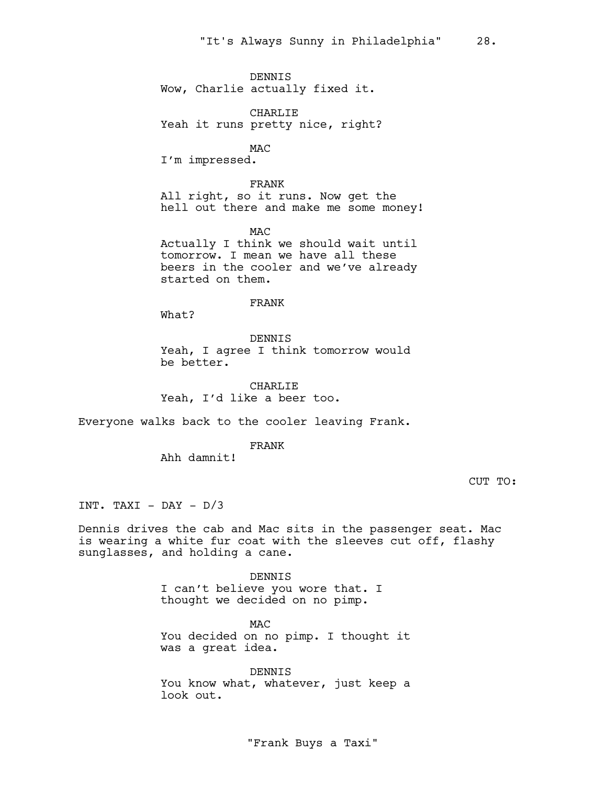DENNIS Wow, Charlie actually fixed it.

CHARLIE Yeah it runs pretty nice, right?

MAC I'm impressed.

FRANK All right, so it runs. Now get the hell out there and make me some money!

MAC Actually I think we should wait until tomorrow. I mean we have all these beers in the cooler and we've already started on them.

# FRANK

What?

#### DENNIS

Yeah, I agree I think tomorrow would be better.

CHARLIE Yeah, I'd like a beer too.

Everyone walks back to the cooler leaving Frank.

FRANK

Ahh damnit!

CUT TO:

INT. TAXI - DAY -  $D/3$ 

Dennis drives the cab and Mac sits in the passenger seat. Mac is wearing a white fur coat with the sleeves cut off, flashy sunglasses, and holding a cane.

> DENNIS I can't believe you wore that. I thought we decided on no pimp.

MAC You decided on no pimp. I thought it was a great idea.

DENNIS You know what, whatever, just keep a look out.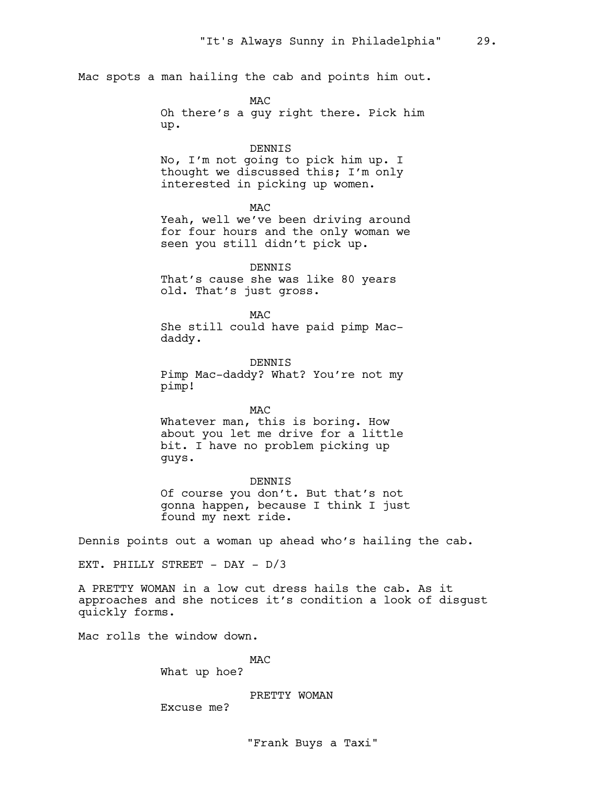Mac spots a man hailing the cab and points him out.

M<sub>AC</sub> Oh there's a guy right there. Pick him up.

#### DENNIS

No, I'm not going to pick him up. I thought we discussed this; I'm only interested in picking up women.

MAC

Yeah, well we've been driving around for four hours and the only woman we seen you still didn't pick up.

DENNIS That's cause she was like 80 years old. That's just gross.

M<sub>AC</sub> She still could have paid pimp Macdaddy.

DENNIS Pimp Mac-daddy? What? You're not my pimp!

**MAC** Whatever man, this is boring. How about you let me drive for a little bit. I have no problem picking up guys.

DENNIS Of course you don't. But that's not gonna happen, because I think I just found my next ride.

Dennis points out a woman up ahead who's hailing the cab.

EXT. PHILLY STREET - DAY - D/3

A PRETTY WOMAN in a low cut dress hails the cab. As it approaches and she notices it's condition a look of disgust quickly forms.

Mac rolls the window down.

**MAC** 

What up hoe?

PRETTY WOMAN

Excuse me?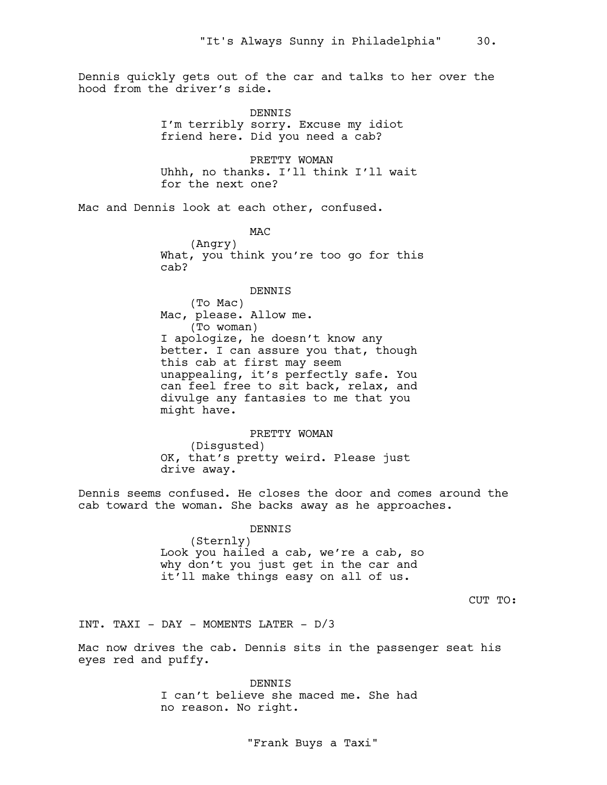Dennis quickly gets out of the car and talks to her over the hood from the driver's side.

> DENNIS I'm terribly sorry. Excuse my idiot friend here. Did you need a cab?

PRETTY WOMAN Uhhh, no thanks. I'll think I'll wait for the next one?

Mac and Dennis look at each other, confused.

M<sub>AC</sub> (Angry) What, you think you're too go for this cab?

#### DENNIS

(To Mac) Mac, please. Allow me. (To woman) I apologize, he doesn't know any better. I can assure you that, though this cab at first may seem unappealing, it's perfectly safe. You can feel free to sit back, relax, and divulge any fantasies to me that you might have.

PRETTY WOMAN (Disgusted) OK, that's pretty weird. Please just drive away.

Dennis seems confused. He closes the door and comes around the cab toward the woman. She backs away as he approaches.

DENNIS

(Sternly) Look you hailed a cab, we're a cab, so why don't you just get in the car and it'll make things easy on all of us.

CUT TO:

INT. TAXI - DAY - MOMENTS LATER - D/3

Mac now drives the cab. Dennis sits in the passenger seat his eyes red and puffy.

> DENNIS I can't believe she maced me. She had no reason. No right.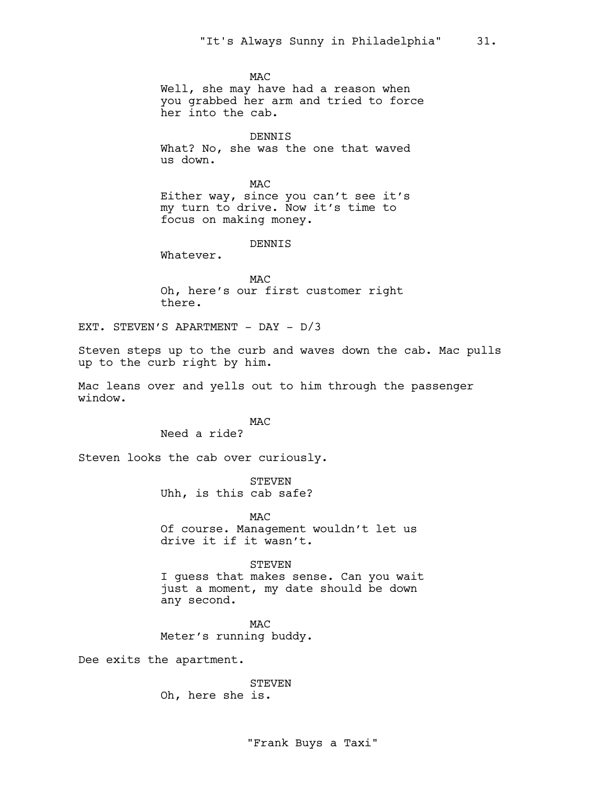M<sub>AC</sub>

Well, she may have had a reason when you grabbed her arm and tried to force her into the cab.

DENNIS What? No, she was the one that waved us down.

**MAC** Either way, since you can't see it's my turn to drive. Now it's time to focus on making money.

DENNIS

Whatever.

**MAC** Oh, here's our first customer right there.

EXT. STEVEN'S APARTMENT - DAY - D/3

Steven steps up to the curb and waves down the cab. Mac pulls up to the curb right by him.

Mac leans over and yells out to him through the passenger window.

MAC

Need a ride?

Steven looks the cab over curiously.

STEVEN Uhh, is this cab safe?

**MAC** Of course. Management wouldn't let us drive it if it wasn't.

#### STEVEN

I guess that makes sense. Can you wait just a moment, my date should be down any second.

M<sub>AC</sub> Meter's running buddy.

Dee exits the apartment.

**STEVEN** Oh, here she is.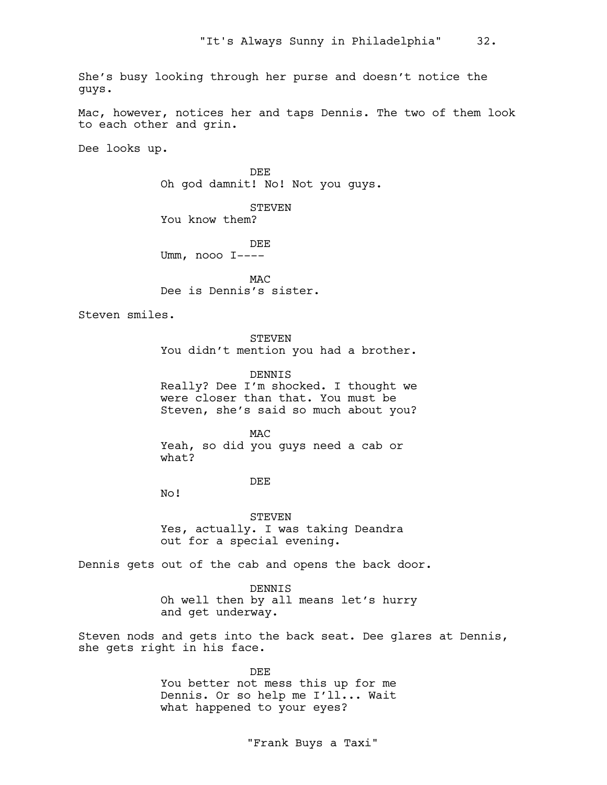She's busy looking through her purse and doesn't notice the guys.

Mac, however, notices her and taps Dennis. The two of them look to each other and grin.

Dee looks up.

DEE Oh god damnit! No! Not you guys.

STEVEN You know them?

DEE Umm, nooo I----

**MAC** Dee is Dennis's sister.

Steven smiles.

STEVEN

You didn't mention you had a brother.

DENNIS

Really? Dee I'm shocked. I thought we were closer than that. You must be Steven, she's said so much about you?

MAC Yeah, so did you guys need a cab or what?

DEE

No!

STEVEN Yes, actually. I was taking Deandra out for a special evening.

Dennis gets out of the cab and opens the back door.

DENNIS Oh well then by all means let's hurry and get underway.

Steven nods and gets into the back seat. Dee glares at Dennis, she gets right in his face.

> DEE You better not mess this up for me Dennis. Or so help me I'll... Wait what happened to your eyes?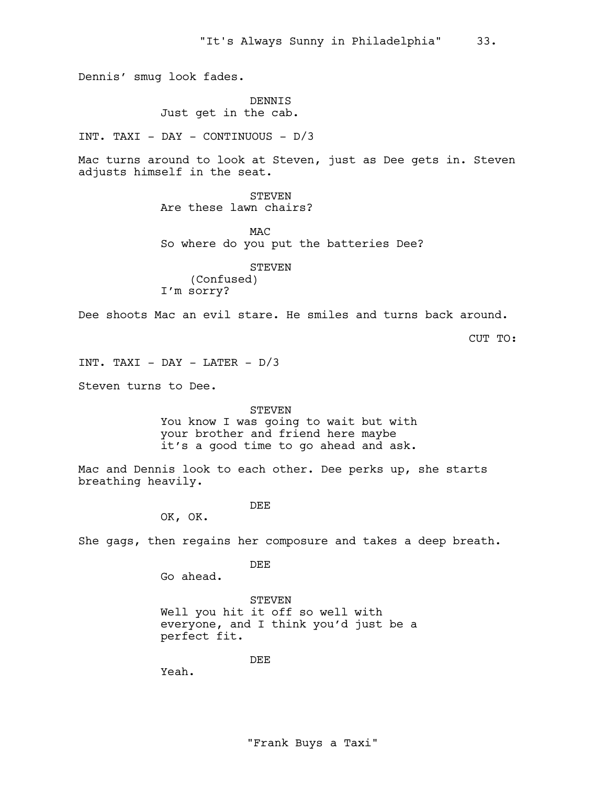Dennis' smug look fades.

DENNIS Just get in the cab.

INT. TAXI - DAY - CONTINUOUS - D/3

Mac turns around to look at Steven, just as Dee gets in. Steven adjusts himself in the seat.

> STEVEN Are these lawn chairs?

M<sub>AC</sub> So where do you put the batteries Dee?

STEVEN (Confused) I'm sorry?

Dee shoots Mac an evil stare. He smiles and turns back around.

CUT TO:

INT. TAXI - DAY - LATER -  $D/3$ 

Steven turns to Dee.

STEVEN

You know I was going to wait but with your brother and friend here maybe it's a good time to go ahead and ask.

Mac and Dennis look to each other. Dee perks up, she starts breathing heavily.

DEE

OK, OK.

She gags, then regains her composure and takes a deep breath.

DEE

Go ahead.

STEVEN Well you hit it off so well with everyone, and I think you'd just be a perfect fit.

DEE

Yeah.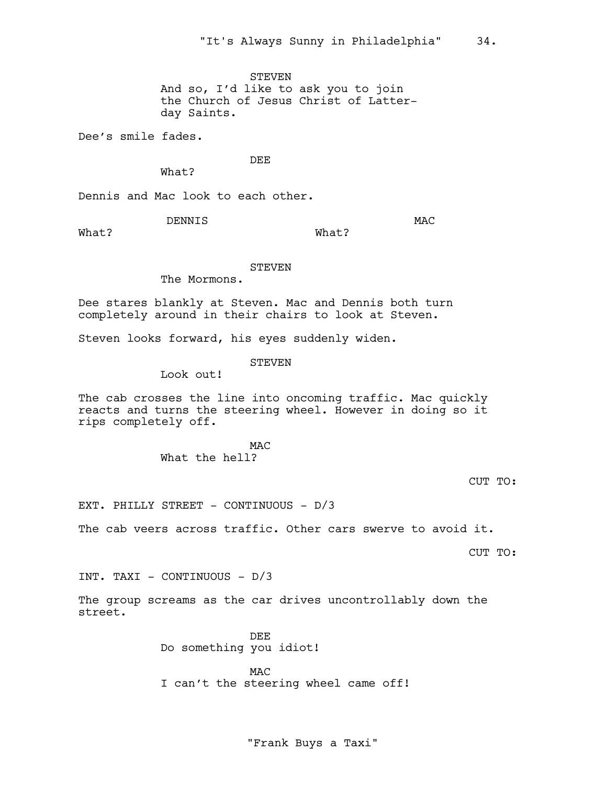STEVEN And so, I'd like to ask you to join the Church of Jesus Christ of Latterday Saints.

Dee's smile fades.

DEE

What?

Dennis and Mac look to each other.

DENNIS

MAC

What?

What?

STEVEN

The Mormons.

Dee stares blankly at Steven. Mac and Dennis both turn completely around in their chairs to look at Steven.

Steven looks forward, his eyes suddenly widen.

**STEVEN** 

Look out!

The cab crosses the line into oncoming traffic. Mac quickly reacts and turns the steering wheel. However in doing so it rips completely off.

> M<sub>AC</sub> What the hell?

> > CUT TO:

EXT. PHILLY STREET - CONTINUOUS - D/3

The cab veers across traffic. Other cars swerve to avoid it.

CUT TO:

INT. TAXI - CONTINUOUS - D/3

The group screams as the car drives uncontrollably down the street.

> DEE Do something you idiot!

**MAC** I can't the steering wheel came off!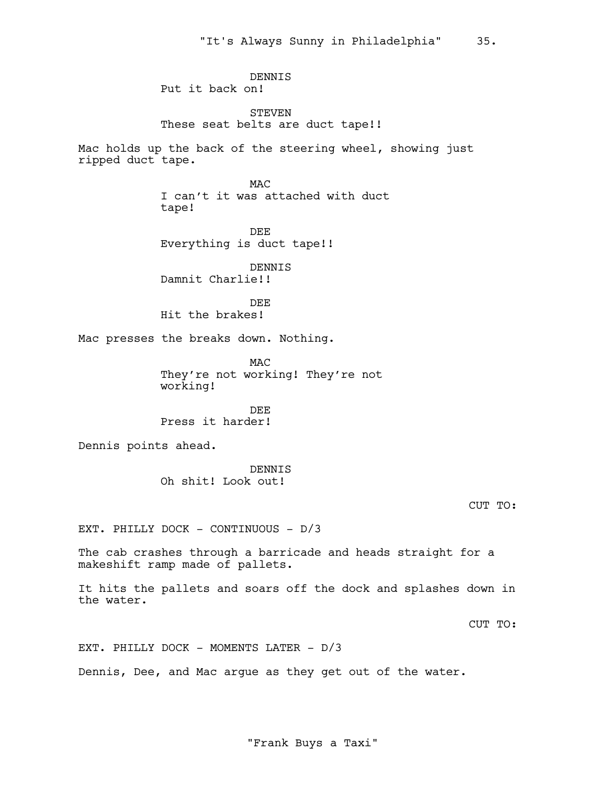DENNIS Put it back on!

STEVEN These seat belts are duct tape!!

Mac holds up the back of the steering wheel, showing just ripped duct tape.

> M<sub>AC</sub> I can't it was attached with duct tape!

DEE Everything is duct tape!!

DENNIS Damnit Charlie!!

DEE Hit the brakes!

Mac presses the breaks down. Nothing.

M<sub>AC</sub> They're not working! They're not working!

DEE Press it harder!

Dennis points ahead.

DENNIS Oh shit! Look out!

CUT TO:

EXT. PHILLY DOCK - CONTINUOUS - D/3

The cab crashes through a barricade and heads straight for a makeshift ramp made of pallets.

It hits the pallets and soars off the dock and splashes down in the water.

CUT TO:

EXT. PHILLY DOCK - MOMENTS LATER - D/3

Dennis, Dee, and Mac argue as they get out of the water.